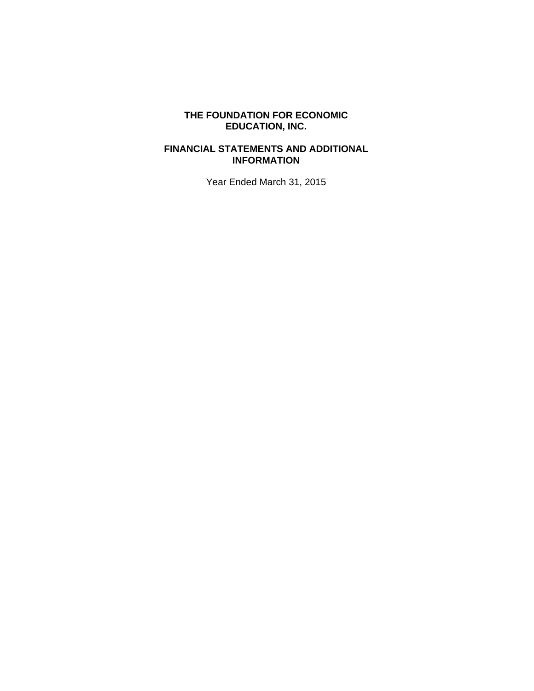## **FINANCIAL STATEMENTS AND ADDITIONAL INFORMATION**

Year Ended March 31, 2015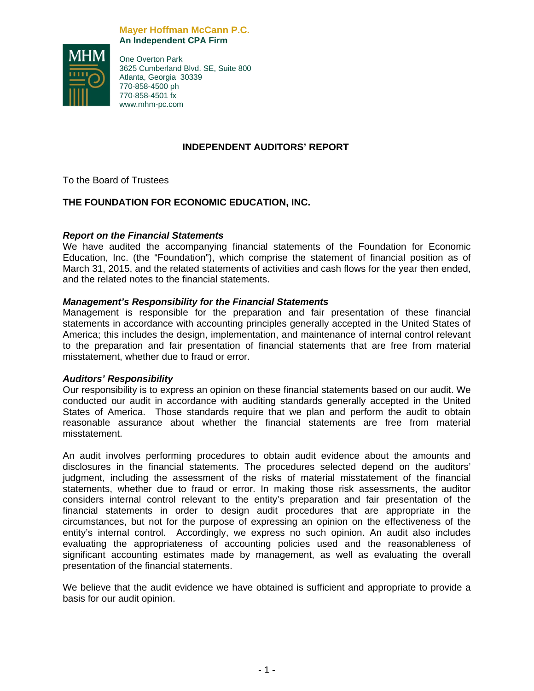#### **Mayer Hoffman McCann P.C. An Independent CPA Firm**



One Overton Park 3625 Cumberland Blvd. SE, Suite 800 Atlanta, Georgia 30339 770-858-4500 ph 770-858-4501 fx www.mhm-pc.com

## **INDEPENDENT AUDITORS' REPORT**

To the Board of Trustees

## **THE FOUNDATION FOR ECONOMIC EDUCATION, INC.**

## *Report on the Financial Statements*

We have audited the accompanying financial statements of the Foundation for Economic Education, Inc. (the "Foundation"), which comprise the statement of financial position as of March 31, 2015, and the related statements of activities and cash flows for the year then ended, and the related notes to the financial statements.

## *Management's Responsibility for the Financial Statements*

Management is responsible for the preparation and fair presentation of these financial statements in accordance with accounting principles generally accepted in the United States of America; this includes the design, implementation, and maintenance of internal control relevant to the preparation and fair presentation of financial statements that are free from material misstatement, whether due to fraud or error.

## *Auditors' Responsibility*

Our responsibility is to express an opinion on these financial statements based on our audit. We conducted our audit in accordance with auditing standards generally accepted in the United States of America. Those standards require that we plan and perform the audit to obtain reasonable assurance about whether the financial statements are free from material misstatement.

An audit involves performing procedures to obtain audit evidence about the amounts and disclosures in the financial statements. The procedures selected depend on the auditors' judgment, including the assessment of the risks of material misstatement of the financial statements, whether due to fraud or error. In making those risk assessments, the auditor considers internal control relevant to the entity's preparation and fair presentation of the financial statements in order to design audit procedures that are appropriate in the circumstances, but not for the purpose of expressing an opinion on the effectiveness of the entity's internal control. Accordingly, we express no such opinion. An audit also includes evaluating the appropriateness of accounting policies used and the reasonableness of significant accounting estimates made by management, as well as evaluating the overall presentation of the financial statements.

We believe that the audit evidence we have obtained is sufficient and appropriate to provide a basis for our audit opinion.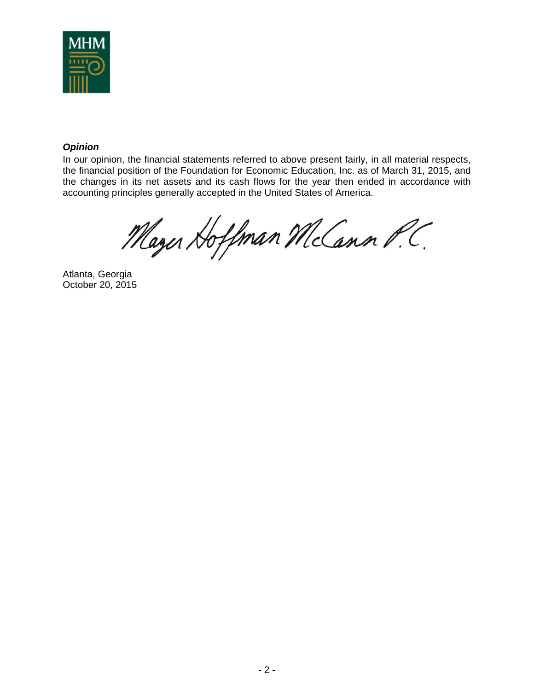

## *Opinion*

In our opinion, the financial statements referred to above present fairly, in all material respects, the financial position of the Foundation for Economic Education, Inc. as of March 31, 2015, and the changes in its net assets and its cash flows for the year then ended in accordance with accounting principles generally accepted in the United States of America.

Mayer Hoffman McCann P.C.

Atlanta, Georgia October 20, 2015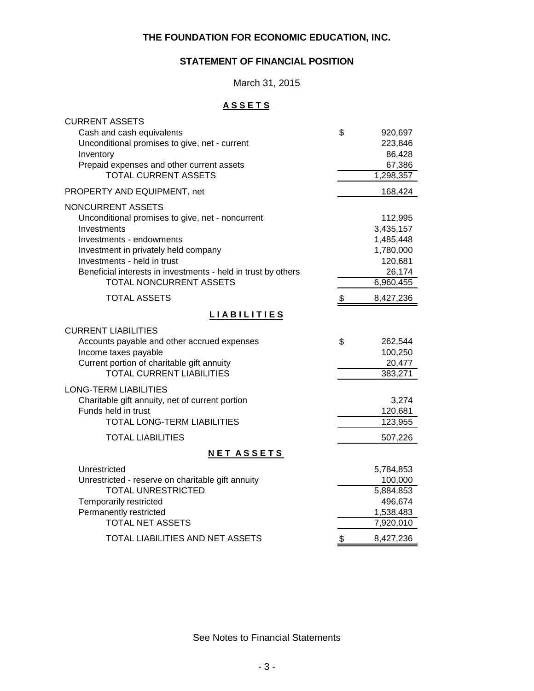## **STATEMENT OF FINANCIAL POSITION**

March 31, 2015

## **A S S E T S**

| <b>CURRENT ASSETS</b>                                         |                 |
|---------------------------------------------------------------|-----------------|
| Cash and cash equivalents                                     | \$<br>920,697   |
| Unconditional promises to give, net - current                 | 223,846         |
| Inventory                                                     | 86,428          |
| Prepaid expenses and other current assets                     | 67,386          |
| <b>TOTAL CURRENT ASSETS</b>                                   | 1,298,357       |
| PROPERTY AND EQUIPMENT, net                                   | 168,424         |
| NONCURRENT ASSETS                                             |                 |
| Unconditional promises to give, net - noncurrent              | 112,995         |
| Investments                                                   | 3,435,157       |
| Investments - endowments                                      | 1,485,448       |
| Investment in privately held company                          | 1,780,000       |
| Investments - held in trust                                   | 120,681         |
| Beneficial interests in investments - held in trust by others | 26,174          |
| TOTAL NONCURRENT ASSETS                                       | 6,960,455       |
| <b>TOTAL ASSETS</b>                                           | \$<br>8,427,236 |
| <b>LIABILITIES</b>                                            |                 |
| <b>CURRENT LIABILITIES</b>                                    |                 |
| Accounts payable and other accrued expenses                   | \$<br>262,544   |
| Income taxes payable                                          | 100,250         |
| Current portion of charitable gift annuity                    | 20,477          |
| <b>TOTAL CURRENT LIABILITIES</b>                              | 383,271         |
| <b>LONG-TERM LIABILITIES</b>                                  |                 |
| Charitable gift annuity, net of current portion               | 3,274           |
| Funds held in trust                                           | 120,681         |
| <b>TOTAL LONG-TERM LIABILITIES</b>                            | 123,955         |
| <b>TOTAL LIABILITIES</b>                                      | 507,226         |
| <b>NET ASSETS</b>                                             |                 |
| Unrestricted                                                  | 5,784,853       |
| Unrestricted - reserve on charitable gift annuity             | 100,000         |
| <b>TOTAL UNRESTRICTED</b>                                     | 5,884,853       |
| Temporarily restricted                                        | 496,674         |
| Permanently restricted                                        | 1,538,483       |
| <b>TOTAL NET ASSETS</b>                                       | 7,920,010       |
| TOTAL LIABILITIES AND NET ASSETS                              | \$<br>8,427,236 |

See Notes to Financial Statements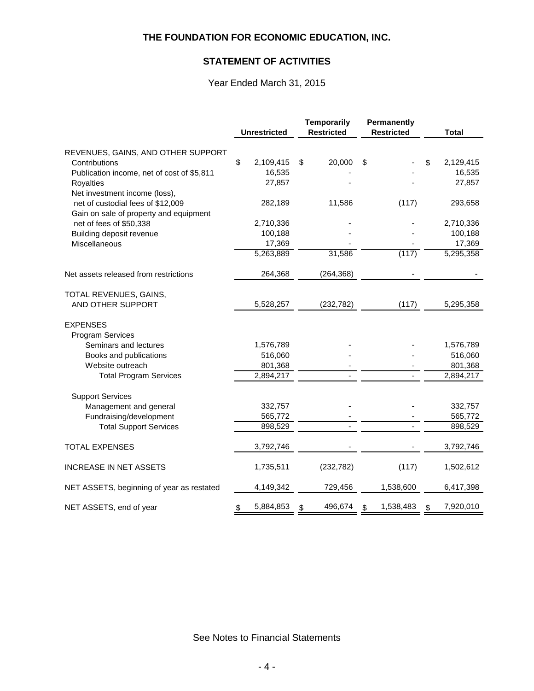## **STATEMENT OF ACTIVITIES**

## Year Ended March 31, 2015

|                                                   |    |                     | <b>Temporarily</b> |                   | Permanently |                   |                 |
|---------------------------------------------------|----|---------------------|--------------------|-------------------|-------------|-------------------|-----------------|
|                                                   |    | <b>Unrestricted</b> |                    | <b>Restricted</b> |             | <b>Restricted</b> | <b>Total</b>    |
|                                                   |    |                     |                    |                   |             |                   |                 |
| REVENUES, GAINS, AND OTHER SUPPORT                |    |                     |                    |                   |             |                   |                 |
| Contributions                                     | \$ | 2,109,415           | \$                 | 20,000            | \$          |                   | \$<br>2,129,415 |
| Publication income, net of cost of \$5,811        |    | 16,535              |                    |                   |             |                   | 16,535          |
| <b>Royalties</b>                                  |    | 27,857              |                    |                   |             |                   | 27,857          |
| Net investment income (loss),                     |    |                     |                    |                   |             |                   |                 |
| net of custodial fees of \$12,009                 |    | 282,189             |                    | 11,586            |             | (117)             | 293,658         |
| Gain on sale of property and equipment            |    |                     |                    |                   |             |                   |                 |
| net of fees of \$50,338                           |    | 2,710,336           |                    |                   |             |                   | 2,710,336       |
| Building deposit revenue                          |    | 100,188             |                    |                   |             |                   | 100,188         |
| Miscellaneous                                     |    | 17,369              |                    |                   |             |                   | 17,369          |
|                                                   |    | 5,263,889           |                    | 31,586            |             | (117)             | 5,295,358       |
| Net assets released from restrictions             |    | 264,368             |                    | (264, 368)        |             |                   |                 |
| TOTAL REVENUES, GAINS,                            |    |                     |                    |                   |             |                   |                 |
| AND OTHER SUPPORT                                 |    | 5,528,257           |                    | (232, 782)        |             | (117)             | 5,295,358       |
| <b>EXPENSES</b>                                   |    |                     |                    |                   |             |                   |                 |
| <b>Program Services</b>                           |    |                     |                    |                   |             |                   |                 |
| Seminars and lectures                             |    | 1,576,789           |                    |                   |             |                   | 1,576,789       |
| Books and publications                            |    | 516,060             |                    |                   |             |                   | 516,060         |
| Website outreach                                  |    | 801,368             |                    |                   |             |                   | 801,368         |
| <b>Total Program Services</b>                     |    | 2,894,217           |                    |                   |             | $\blacksquare$    | 2,894,217       |
|                                                   |    |                     |                    |                   |             |                   |                 |
| <b>Support Services</b><br>Management and general |    | 332,757             |                    |                   |             |                   | 332,757         |
| Fundraising/development                           |    | 565,772             |                    |                   |             |                   | 565,772         |
| <b>Total Support Services</b>                     |    | 898,529             |                    |                   |             |                   | 898,529         |
|                                                   |    |                     |                    |                   |             |                   |                 |
| <b>TOTAL EXPENSES</b>                             |    | 3,792,746           |                    |                   |             |                   | 3,792,746       |
| <b>INCREASE IN NET ASSETS</b>                     |    | 1,735,511           |                    | (232, 782)        |             | (117)             | 1,502,612       |
| NET ASSETS, beginning of year as restated         |    | 4,149,342           |                    | 729,456           |             | 1,538,600         | 6,417,398       |
| NET ASSETS, end of year                           | \$ | 5,884,853           | \$                 | 496,674           | \$          | 1,538,483         | \$<br>7,920,010 |

See Notes to Financial Statements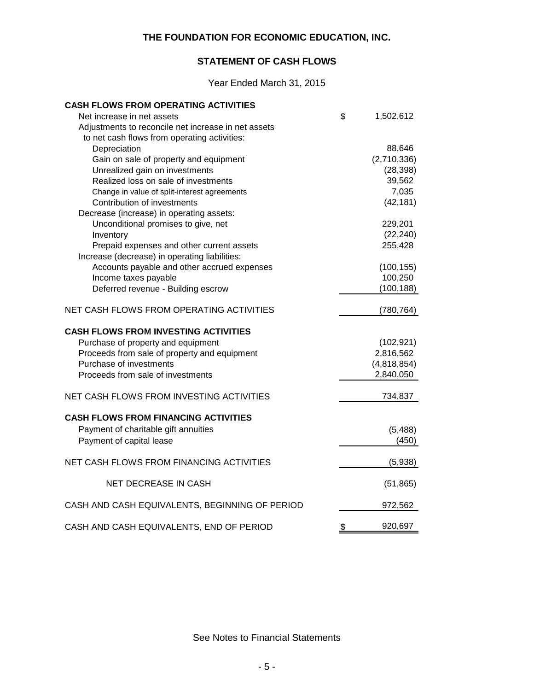## **STATEMENT OF CASH FLOWS**

Year Ended March 31, 2015

| <b>CASH FLOWS FROM OPERATING ACTIVITIES</b>         |               |             |
|-----------------------------------------------------|---------------|-------------|
| Net increase in net assets                          | \$            | 1,502,612   |
| Adjustments to reconcile net increase in net assets |               |             |
| to net cash flows from operating activities:        |               |             |
| Depreciation                                        |               | 88,646      |
| Gain on sale of property and equipment              |               | (2,710,336) |
| Unrealized gain on investments                      |               | (28, 398)   |
| Realized loss on sale of investments                |               | 39,562      |
| Change in value of split-interest agreements        |               | 7,035       |
| Contribution of investments                         |               | (42, 181)   |
| Decrease (increase) in operating assets:            |               |             |
| Unconditional promises to give, net                 |               | 229,201     |
| Inventory                                           |               | (22, 240)   |
| Prepaid expenses and other current assets           |               | 255,428     |
| Increase (decrease) in operating liabilities:       |               |             |
| Accounts payable and other accrued expenses         |               | (100, 155)  |
| Income taxes payable                                |               | 100,250     |
| Deferred revenue - Building escrow                  |               | (100, 188)  |
| NET CASH FLOWS FROM OPERATING ACTIVITIES            |               | (780, 764)  |
| <b>CASH FLOWS FROM INVESTING ACTIVITIES</b>         |               |             |
| Purchase of property and equipment                  |               | (102, 921)  |
| Proceeds from sale of property and equipment        |               | 2,816,562   |
| Purchase of investments                             |               | (4,818,854) |
| Proceeds from sale of investments                   |               | 2,840,050   |
| NET CASH FLOWS FROM INVESTING ACTIVITIES            |               | 734,837     |
| <b>CASH FLOWS FROM FINANCING ACTIVITIES</b>         |               |             |
| Payment of charitable gift annuities                |               | (5, 488)    |
| Payment of capital lease                            |               | (450)       |
|                                                     |               |             |
| NET CASH FLOWS FROM FINANCING ACTIVITIES            |               | (5,938)     |
| <b>NET DECREASE IN CASH</b>                         |               | (51, 865)   |
| CASH AND CASH EQUIVALENTS, BEGINNING OF PERIOD      |               | 972,562     |
| CASH AND CASH EQUIVALENTS, END OF PERIOD            | $\frac{1}{2}$ | 920,697     |
|                                                     |               |             |

See Notes to Financial Statements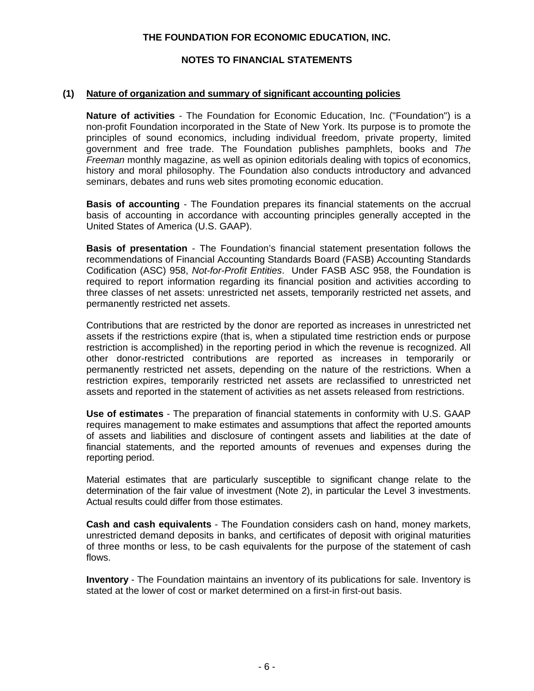## **NOTES TO FINANCIAL STATEMENTS**

#### **(1) Nature of organization and summary of significant accounting policies**

**Nature of activities** - The Foundation for Economic Education, Inc. ("Foundation") is a non-profit Foundation incorporated in the State of New York. Its purpose is to promote the principles of sound economics, including individual freedom, private property, limited government and free trade. The Foundation publishes pamphlets, books and *The Freeman* monthly magazine, as well as opinion editorials dealing with topics of economics, history and moral philosophy. The Foundation also conducts introductory and advanced seminars, debates and runs web sites promoting economic education.

**Basis of accounting** - The Foundation prepares its financial statements on the accrual basis of accounting in accordance with accounting principles generally accepted in the United States of America (U.S. GAAP).

**Basis of presentation** - The Foundation's financial statement presentation follows the recommendations of Financial Accounting Standards Board (FASB) Accounting Standards Codification (ASC) 958, *Not-for-Profit Entities*. Under FASB ASC 958, the Foundation is required to report information regarding its financial position and activities according to three classes of net assets: unrestricted net assets, temporarily restricted net assets, and permanently restricted net assets.

Contributions that are restricted by the donor are reported as increases in unrestricted net assets if the restrictions expire (that is, when a stipulated time restriction ends or purpose restriction is accomplished) in the reporting period in which the revenue is recognized. All other donor-restricted contributions are reported as increases in temporarily or permanently restricted net assets, depending on the nature of the restrictions. When a restriction expires, temporarily restricted net assets are reclassified to unrestricted net assets and reported in the statement of activities as net assets released from restrictions.

**Use of estimates** - The preparation of financial statements in conformity with U.S. GAAP requires management to make estimates and assumptions that affect the reported amounts of assets and liabilities and disclosure of contingent assets and liabilities at the date of financial statements, and the reported amounts of revenues and expenses during the reporting period.

Material estimates that are particularly susceptible to significant change relate to the determination of the fair value of investment (Note 2), in particular the Level 3 investments. Actual results could differ from those estimates.

**Cash and cash equivalents** - The Foundation considers cash on hand, money markets, unrestricted demand deposits in banks, and certificates of deposit with original maturities of three months or less, to be cash equivalents for the purpose of the statement of cash flows.

**Inventory** - The Foundation maintains an inventory of its publications for sale. Inventory is stated at the lower of cost or market determined on a first-in first-out basis.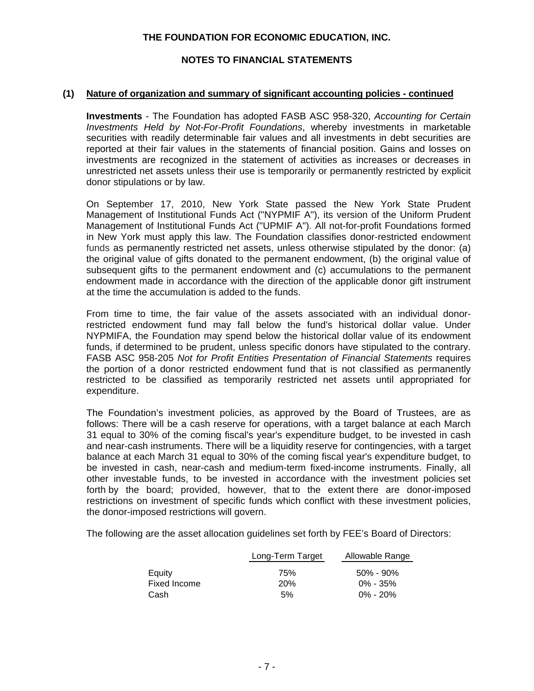## **NOTES TO FINANCIAL STATEMENTS**

#### **(1) Nature of organization and summary of significant accounting policies - continued**

**Investments** - The Foundation has adopted FASB ASC 958-320, *Accounting for Certain Investments Held by Not-For-Profit Foundations*, whereby investments in marketable securities with readily determinable fair values and all investments in debt securities are reported at their fair values in the statements of financial position. Gains and losses on investments are recognized in the statement of activities as increases or decreases in unrestricted net assets unless their use is temporarily or permanently restricted by explicit donor stipulations or by law.

On September 17, 2010, New York State passed the New York State Prudent Management of Institutional Funds Act ("NYPMIF A"), its version of the Uniform Prudent Management of Institutional Funds Act ("UPMIF A"). All not-for-profit Foundations formed in New York must apply this law. The Foundation classifies donor-restricted endowment funds as permanently restricted net assets, unless otherwise stipulated by the donor: (a) the original value of gifts donated to the permanent endowment, (b) the original value of subsequent gifts to the permanent endowment and (c) accumulations to the permanent endowment made in accordance with the direction of the applicable donor gift instrument at the time the accumulation is added to the funds.

From time to time, the fair value of the assets associated with an individual donorrestricted endowment fund may fall below the fund's historical dollar value. Under NYPMIFA, the Foundation may spend below the historical dollar value of its endowment funds, if determined to be prudent, unless specific donors have stipulated to the contrary. FASB ASC 958-205 *Not for Profit Entities Presentation of Financial Statements* requires the portion of a donor restricted endowment fund that is not classified as permanently restricted to be classified as temporarily restricted net assets until appropriated for expenditure.

The Foundation's investment policies, as approved by the Board of Trustees, are as follows: There will be a cash reserve for operations, with a target balance at each March 31 equal to 30% of the coming fiscal's year's expenditure budget, to be invested in cash and near-cash instruments. There will be a liquidity reserve for contingencies, with a target balance at each March 31 equal to 30% of the coming fiscal year's expenditure budget, to be invested in cash, near-cash and medium-term fixed-income instruments. Finally, all other investable funds, to be invested in accordance with the investment policies set forth by the board; provided, however, that to the extent there are donor-imposed restrictions on investment of specific funds which conflict with these investment policies, the donor-imposed restrictions will govern.

The following are the asset allocation guidelines set forth by FEE's Board of Directors:

|              | Long-Term Target | Allowable Range |  |  |  |
|--------------|------------------|-----------------|--|--|--|
| Equity       | 75%              | $50\%$ - 90%    |  |  |  |
| Fixed Income | <b>20%</b>       | $0\% - 35\%$    |  |  |  |
| Cash         | .5%              | $0\% - 20\%$    |  |  |  |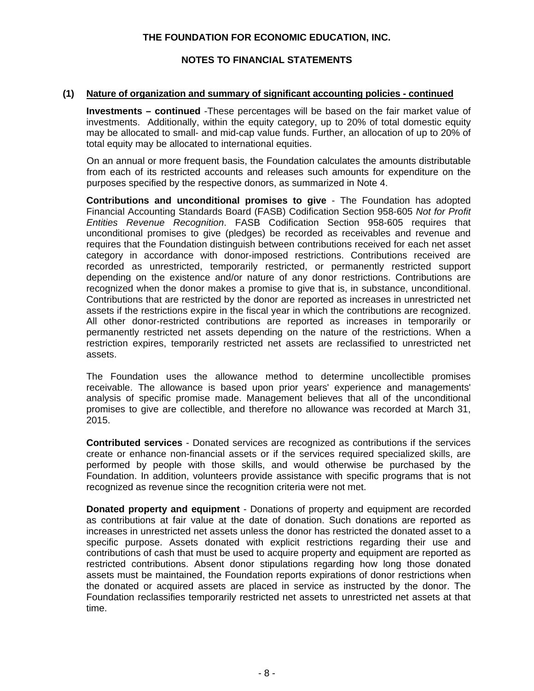## **NOTES TO FINANCIAL STATEMENTS**

#### **(1) Nature of organization and summary of significant accounting policies - continued**

**Investments – continued** -These percentages will be based on the fair market value of investments. Additionally, within the equity category, up to 20% of total domestic equity may be allocated to small- and mid-cap value funds. Further, an allocation of up to 20% of total equity may be allocated to international equities.

On an annual or more frequent basis, the Foundation calculates the amounts distributable from each of its restricted accounts and releases such amounts for expenditure on the purposes specified by the respective donors, as summarized in Note 4.

**Contributions and unconditional promises to give** - The Foundation has adopted Financial Accounting Standards Board (FASB) Codification Section 958-605 *Not for Profit Entities Revenue Recognition*. FASB Codification Section 958-605 requires that unconditional promises to give (pledges) be recorded as receivables and revenue and requires that the Foundation distinguish between contributions received for each net asset category in accordance with donor-imposed restrictions. Contributions received are recorded as unrestricted, temporarily restricted, or permanently restricted support depending on the existence and/or nature of any donor restrictions. Contributions are recognized when the donor makes a promise to give that is, in substance, unconditional. Contributions that are restricted by the donor are reported as increases in unrestricted net assets if the restrictions expire in the fiscal year in which the contributions are recognized. All other donor-restricted contributions are reported as increases in temporarily or permanently restricted net assets depending on the nature of the restrictions. When a restriction expires, temporarily restricted net assets are reclassified to unrestricted net assets.

The Foundation uses the allowance method to determine uncollectible promises receivable. The allowance is based upon prior years' experience and managements' analysis of specific promise made. Management believes that all of the unconditional promises to give are collectible, and therefore no allowance was recorded at March 31, 2015.

**Contributed services** - Donated services are recognized as contributions if the services create or enhance non-financial assets or if the services required specialized skills, are performed by people with those skills, and would otherwise be purchased by the Foundation. In addition, volunteers provide assistance with specific programs that is not recognized as revenue since the recognition criteria were not met.

**Donated property and equipment** - Donations of property and equipment are recorded as contributions at fair value at the date of donation. Such donations are reported as increases in unrestricted net assets unless the donor has restricted the donated asset to a specific purpose. Assets donated with explicit restrictions regarding their use and contributions of cash that must be used to acquire property and equipment are reported as restricted contributions. Absent donor stipulations regarding how long those donated assets must be maintained, the Foundation reports expirations of donor restrictions when the donated or acquired assets are placed in service as instructed by the donor. The Foundation reclassifies temporarily restricted net assets to unrestricted net assets at that time.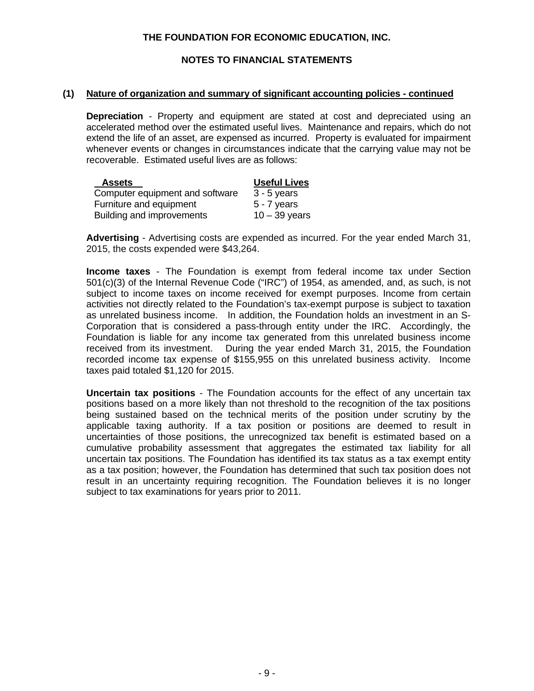## **NOTES TO FINANCIAL STATEMENTS**

#### **(1) Nature of organization and summary of significant accounting policies - continued**

**Depreciation** - Property and equipment are stated at cost and depreciated using an accelerated method over the estimated useful lives. Maintenance and repairs, which do not extend the life of an asset, are expensed as incurred. Property is evaluated for impairment whenever events or changes in circumstances indicate that the carrying value may not be recoverable. Estimated useful lives are as follows:

| <b>Assets</b>                   | <b>Useful Lives</b> |
|---------------------------------|---------------------|
| Computer equipment and software | $3 - 5$ years       |
| Furniture and equipment         | $5 - 7$ years       |
| Building and improvements       | $10 - 39$ years     |

**Advertising** - Advertising costs are expended as incurred. For the year ended March 31, 2015, the costs expended were \$43,264.

**Income taxes** - The Foundation is exempt from federal income tax under Section 501(c)(3) of the Internal Revenue Code ("IRC") of 1954, as amended, and, as such, is not subject to income taxes on income received for exempt purposes. Income from certain activities not directly related to the Foundation's tax-exempt purpose is subject to taxation as unrelated business income. In addition, the Foundation holds an investment in an S-Corporation that is considered a pass-through entity under the IRC. Accordingly, the Foundation is liable for any income tax generated from this unrelated business income received from its investment. During the year ended March 31, 2015, the Foundation recorded income tax expense of \$155,955 on this unrelated business activity. Income taxes paid totaled \$1,120 for 2015.

**Uncertain tax positions** - The Foundation accounts for the effect of any uncertain tax positions based on a more likely than not threshold to the recognition of the tax positions being sustained based on the technical merits of the position under scrutiny by the applicable taxing authority. If a tax position or positions are deemed to result in uncertainties of those positions, the unrecognized tax benefit is estimated based on a cumulative probability assessment that aggregates the estimated tax liability for all uncertain tax positions. The Foundation has identified its tax status as a tax exempt entity as a tax position; however, the Foundation has determined that such tax position does not result in an uncertainty requiring recognition. The Foundation believes it is no longer subject to tax examinations for years prior to 2011.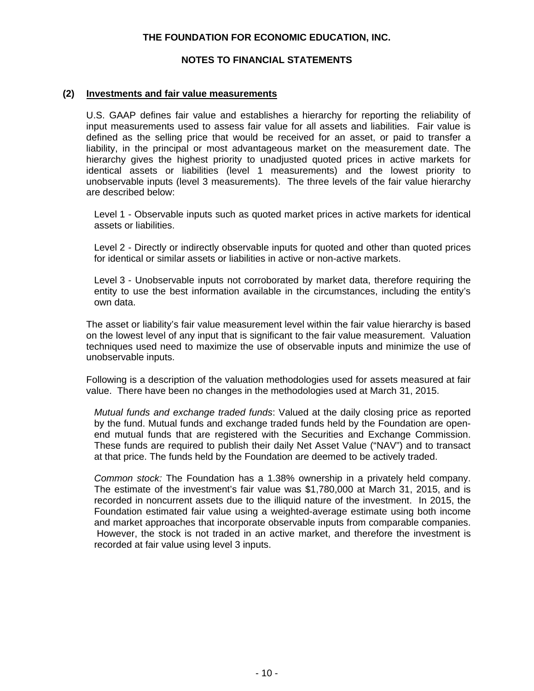## **NOTES TO FINANCIAL STATEMENTS**

#### **(2) Investments and fair value measurements**

U.S. GAAP defines fair value and establishes a hierarchy for reporting the reliability of input measurements used to assess fair value for all assets and liabilities. Fair value is defined as the selling price that would be received for an asset, or paid to transfer a liability, in the principal or most advantageous market on the measurement date. The hierarchy gives the highest priority to unadjusted quoted prices in active markets for identical assets or liabilities (level 1 measurements) and the lowest priority to unobservable inputs (level 3 measurements). The three levels of the fair value hierarchy are described below:

Level 1 - Observable inputs such as quoted market prices in active markets for identical assets or liabilities.

Level 2 - Directly or indirectly observable inputs for quoted and other than quoted prices for identical or similar assets or liabilities in active or non-active markets.

Level 3 - Unobservable inputs not corroborated by market data, therefore requiring the entity to use the best information available in the circumstances, including the entity's own data.

The asset or liability's fair value measurement level within the fair value hierarchy is based on the lowest level of any input that is significant to the fair value measurement. Valuation techniques used need to maximize the use of observable inputs and minimize the use of unobservable inputs.

Following is a description of the valuation methodologies used for assets measured at fair value. There have been no changes in the methodologies used at March 31, 2015.

*Mutual funds and exchange traded funds*: Valued at the daily closing price as reported by the fund. Mutual funds and exchange traded funds held by the Foundation are openend mutual funds that are registered with the Securities and Exchange Commission. These funds are required to publish their daily Net Asset Value ("NAV") and to transact at that price. The funds held by the Foundation are deemed to be actively traded.

*Common stock:* The Foundation has a 1.38% ownership in a privately held company. The estimate of the investment's fair value was \$1,780,000 at March 31, 2015, and is recorded in noncurrent assets due to the illiquid nature of the investment. In 2015, the Foundation estimated fair value using a weighted-average estimate using both income and market approaches that incorporate observable inputs from comparable companies. However, the stock is not traded in an active market, and therefore the investment is recorded at fair value using level 3 inputs.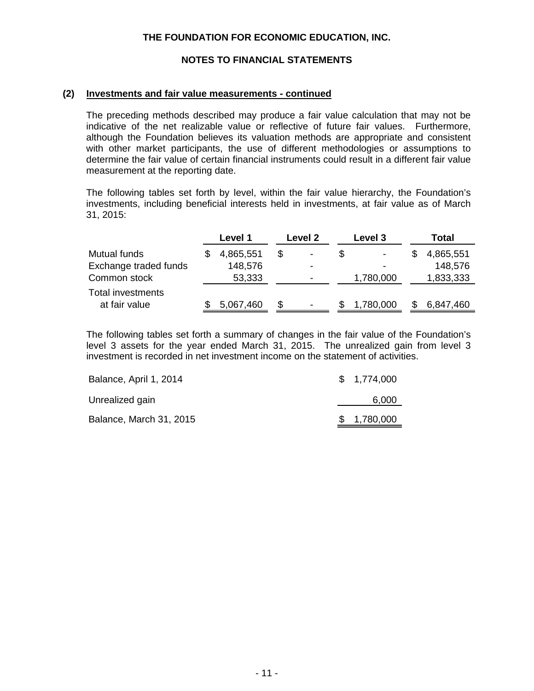## **NOTES TO FINANCIAL STATEMENTS**

#### **(2) Investments and fair value measurements - continued**

The preceding methods described may produce a fair value calculation that may not be indicative of the net realizable value or reflective of future fair values. Furthermore, although the Foundation believes its valuation methods are appropriate and consistent with other market participants, the use of different methodologies or assumptions to determine the fair value of certain financial instruments could result in a different fair value measurement at the reporting date.

The following tables set forth by level, within the fair value hierarchy, the Foundation's investments, including beneficial interests held in investments, at fair value as of March 31, 2015:

| Level 1   |   | Level 2<br>Level 3 |   | Total     |           |
|-----------|---|--------------------|---|-----------|-----------|
| 4,865,551 |   |                    | S |           | 4,865,551 |
| 148,576   |   | -                  |   | -         | 148,576   |
| 53,333    |   | -                  |   | 1,780,000 | 1,833,333 |
| 5,067,460 | S |                    | S | 1,780,000 | 6,847,460 |
|           |   |                    |   |           |           |

The following tables set forth a summary of changes in the fair value of the Foundation's level 3 assets for the year ended March 31, 2015. The unrealized gain from level 3 investment is recorded in net investment income on the statement of activities.

| Balance, April 1, 2014  | \$1,774,000 |
|-------------------------|-------------|
| Unrealized gain         | 6.000       |
| Balance, March 31, 2015 | \$1,780,000 |
|                         |             |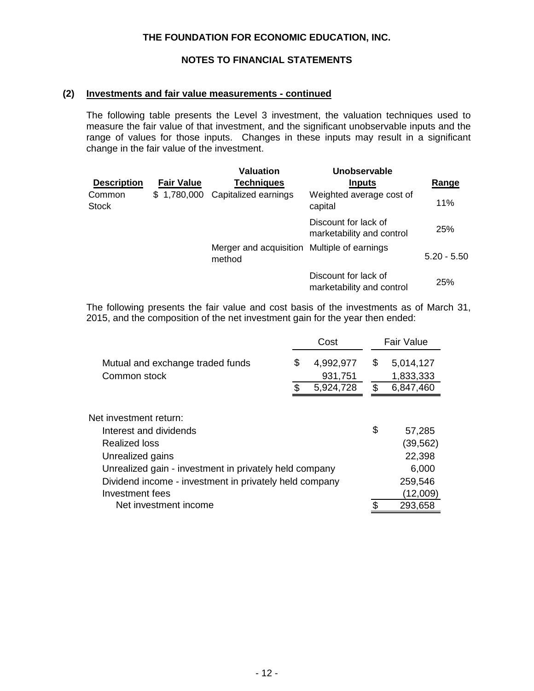## **NOTES TO FINANCIAL STATEMENTS**

#### **(2) Investments and fair value measurements - continued**

The following table presents the Level 3 investment, the valuation techniques used to measure the fair value of that investment, and the significant unobservable inputs and the range of values for those inputs. Changes in these inputs may result in a significant change in the fair value of the investment.

|                        |                   | <b>Valuation</b>                                      | Unobservable                                      |               |
|------------------------|-------------------|-------------------------------------------------------|---------------------------------------------------|---------------|
| <b>Description</b>     | <b>Fair Value</b> | <b>Techniques</b>                                     | <b>Inputs</b>                                     | Range         |
| Common<br><b>Stock</b> |                   | \$1,780,000 Capitalized earnings                      | Weighted average cost of<br>capital               | 11%           |
|                        |                   |                                                       | Discount for lack of<br>marketability and control | 25%           |
|                        |                   | Merger and acquisition Multiple of earnings<br>method |                                                   | $5.20 - 5.50$ |
|                        |                   |                                                       | Discount for lack of<br>marketability and control | 25%           |

The following presents the fair value and cost basis of the investments as of March 31, 2015, and the composition of the net investment gain for the year then ended:

|                                                        | Cost            | <b>Fair Value</b> |           |  |  |
|--------------------------------------------------------|-----------------|-------------------|-----------|--|--|
| Mutual and exchange traded funds                       | \$<br>4,992,977 | \$                | 5,014,127 |  |  |
| Common stock                                           | 931,751         |                   | 1,833,333 |  |  |
|                                                        | \$<br>5,924,728 | \$                | 6,847,460 |  |  |
| Net investment return:                                 |                 |                   |           |  |  |
| Interest and dividends                                 |                 | \$                |           |  |  |
|                                                        |                 |                   | 57,285    |  |  |
| Realized loss                                          |                 |                   | (39, 562) |  |  |
| Unrealized gains                                       |                 |                   | 22,398    |  |  |
| Unrealized gain - investment in privately held company |                 | 6,000             |           |  |  |
| Dividend income - investment in privately held company |                 | 259,546           |           |  |  |
| Investment fees                                        |                 |                   | (12,009)  |  |  |
| Net investment income                                  |                 |                   | 293,658   |  |  |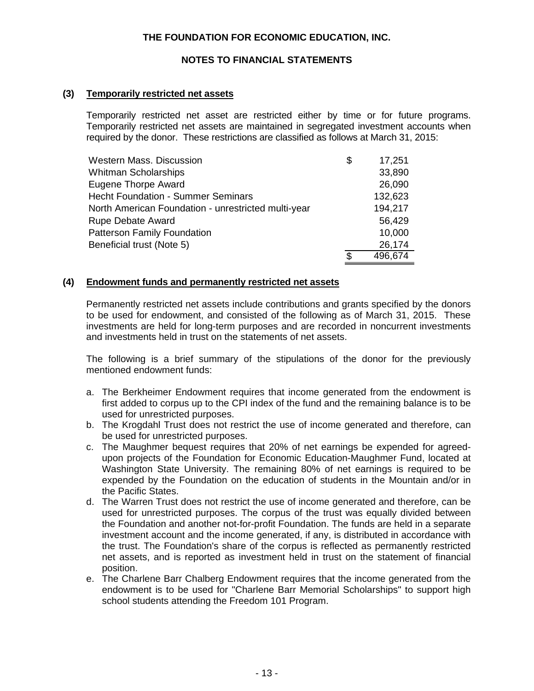## **NOTES TO FINANCIAL STATEMENTS**

#### **(3) Temporarily restricted net assets**

Temporarily restricted net asset are restricted either by time or for future programs. Temporarily restricted net assets are maintained in segregated investment accounts when required by the donor. These restrictions are classified as follows at March 31, 2015:

| <b>Western Mass. Discussion</b>                     | \$<br>17,251  |
|-----------------------------------------------------|---------------|
| <b>Whitman Scholarships</b>                         | 33,890        |
| <b>Eugene Thorpe Award</b>                          | 26,090        |
| <b>Hecht Foundation - Summer Seminars</b>           | 132,623       |
| North American Foundation - unrestricted multi-year | 194,217       |
| <b>Rupe Debate Award</b>                            | 56,429        |
| <b>Patterson Family Foundation</b>                  | 10,000        |
| Beneficial trust (Note 5)                           | 26,174        |
|                                                     | \$<br>496,674 |

#### **(4) Endowment funds and permanently restricted net assets**

Permanently restricted net assets include contributions and grants specified by the donors to be used for endowment, and consisted of the following as of March 31, 2015. These investments are held for long-term purposes and are recorded in noncurrent investments and investments held in trust on the statements of net assets.

The following is a brief summary of the stipulations of the donor for the previously mentioned endowment funds:

- a. The Berkheimer Endowment requires that income generated from the endowment is first added to corpus up to the CPI index of the fund and the remaining balance is to be used for unrestricted purposes.
- b. The Krogdahl Trust does not restrict the use of income generated and therefore, can be used for unrestricted purposes.
- c. The Maughmer bequest requires that 20% of net earnings be expended for agreedupon projects of the Foundation for Economic Education-Maughmer Fund, located at Washington State University. The remaining 80% of net earnings is required to be expended by the Foundation on the education of students in the Mountain and/or in the Pacific States.
- d. The Warren Trust does not restrict the use of income generated and therefore, can be used for unrestricted purposes. The corpus of the trust was equally divided between the Foundation and another not-for-profit Foundation. The funds are held in a separate investment account and the income generated, if any, is distributed in accordance with the trust. The Foundation's share of the corpus is reflected as permanently restricted net assets, and is reported as investment held in trust on the statement of financial position.
- e. The Charlene Barr Chalberg Endowment requires that the income generated from the endowment is to be used for "Charlene Barr Memorial Scholarships" to support high school students attending the Freedom 101 Program.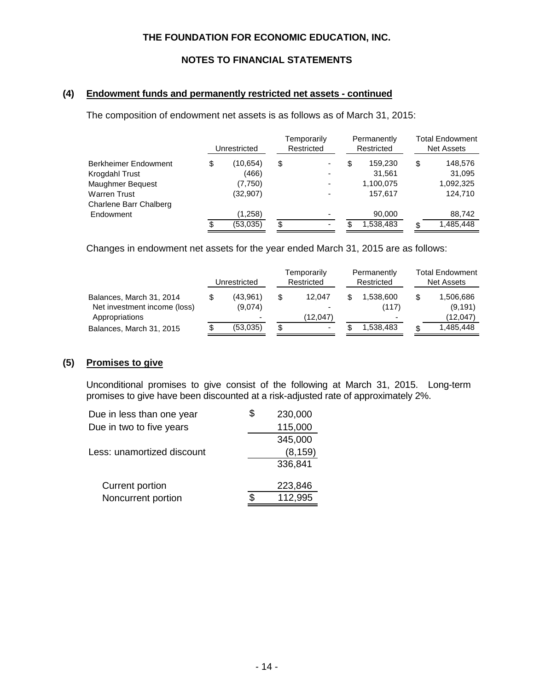## **NOTES TO FINANCIAL STATEMENTS**

### **(4) Endowment funds and permanently restricted net assets - continued**

The composition of endowment net assets is as follows as of March 31, 2015:

|                        | Unrestricted   |    | Temporarily<br>Restricted |    | Permanently<br>Restricted | <b>Total Endowment</b><br><b>Net Assets</b> |           |
|------------------------|----------------|----|---------------------------|----|---------------------------|---------------------------------------------|-----------|
| Berkheimer Endowment   | \$<br>(10,654) | \$ |                           | \$ | 159,230                   | \$                                          | 148,576   |
| Krogdahl Trust         | (466)          |    |                           |    | 31,561                    |                                             | 31,095    |
| Maughmer Bequest       | (7,750)        |    |                           |    | 1,100,075                 |                                             | 1,092,325 |
| Warren Trust           | (32, 907)      |    | -                         |    | 157.617                   |                                             | 124.710   |
| Charlene Barr Chalberg |                |    |                           |    |                           |                                             |           |
| Endowment              | (1,258)        |    |                           |    | 90,000                    |                                             | 88,742    |
|                        | (53,035)       | \$ |                           |    | 1,538,483                 | £.                                          | 1,485,448 |

Changes in endowment net assets for the year ended March 31, 2015 are as follows:

|                                                                            |  | Unrestricted        |    | Temporarily<br>Restricted | Permanently<br>Restricted | <b>Total Endowment</b><br>Net Assets |                                   |
|----------------------------------------------------------------------------|--|---------------------|----|---------------------------|---------------------------|--------------------------------------|-----------------------------------|
| Balances, March 31, 2014<br>Net investment income (loss)<br>Appropriations |  | (43,961)<br>(9,074) |    | 12.047<br>(12,047)        | 1,538,600<br>(117)        |                                      | 1,506,686<br>(9, 191)<br>(12,047) |
| Balances, March 31, 2015                                                   |  | (53,035)            | \$ | ۰                         | 1.538.483                 |                                      | 1,485,448                         |

#### **(5) Promises to give**

Unconditional promises to give consist of the following at March 31, 2015. Long-term promises to give have been discounted at a risk-adjusted rate of approximately 2%.

| Due in less than one year  | 230,000  |
|----------------------------|----------|
| Due in two to five years   | 115,000  |
|                            | 345,000  |
| Less: unamortized discount | (8, 159) |
|                            | 336,841  |
|                            |          |
| Current portion            | 223,846  |
| Noncurrent portion         | 112,995  |
|                            |          |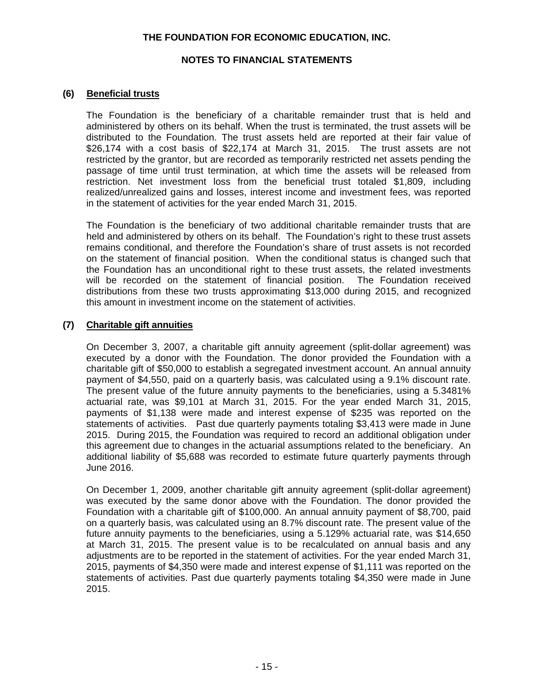### **NOTES TO FINANCIAL STATEMENTS**

## **(6) Beneficial trusts**

The Foundation is the beneficiary of a charitable remainder trust that is held and administered by others on its behalf. When the trust is terminated, the trust assets will be distributed to the Foundation. The trust assets held are reported at their fair value of \$26,174 with a cost basis of \$22,174 at March 31, 2015. The trust assets are not restricted by the grantor, but are recorded as temporarily restricted net assets pending the passage of time until trust termination, at which time the assets will be released from restriction. Net investment loss from the beneficial trust totaled \$1,809, including realized/unrealized gains and losses, interest income and investment fees, was reported in the statement of activities for the year ended March 31, 2015.

The Foundation is the beneficiary of two additional charitable remainder trusts that are held and administered by others on its behalf. The Foundation's right to these trust assets remains conditional, and therefore the Foundation's share of trust assets is not recorded on the statement of financial position. When the conditional status is changed such that the Foundation has an unconditional right to these trust assets, the related investments will be recorded on the statement of financial position. The Foundation received distributions from these two trusts approximating \$13,000 during 2015, and recognized this amount in investment income on the statement of activities.

## **(7) Charitable gift annuities**

On December 3, 2007, a charitable gift annuity agreement (split-dollar agreement) was executed by a donor with the Foundation. The donor provided the Foundation with a charitable gift of \$50,000 to establish a segregated investment account. An annual annuity payment of \$4,550, paid on a quarterly basis, was calculated using a 9.1% discount rate. The present value of the future annuity payments to the beneficiaries, using a 5.3481% actuarial rate, was \$9,101 at March 31, 2015. For the year ended March 31, 2015, payments of \$1,138 were made and interest expense of \$235 was reported on the statements of activities. Past due quarterly payments totaling \$3,413 were made in June 2015. During 2015, the Foundation was required to record an additional obligation under this agreement due to changes in the actuarial assumptions related to the beneficiary. An additional liability of \$5,688 was recorded to estimate future quarterly payments through June 2016.

On December 1, 2009, another charitable gift annuity agreement (split-dollar agreement) was executed by the same donor above with the Foundation. The donor provided the Foundation with a charitable gift of \$100,000. An annual annuity payment of \$8,700, paid on a quarterly basis, was calculated using an 8.7% discount rate. The present value of the future annuity payments to the beneficiaries, using a 5.129% actuarial rate, was \$14,650 at March 31, 2015. The present value is to be recalculated on annual basis and any adjustments are to be reported in the statement of activities. For the year ended March 31, 2015, payments of \$4,350 were made and interest expense of \$1,111 was reported on the statements of activities. Past due quarterly payments totaling \$4,350 were made in June 2015.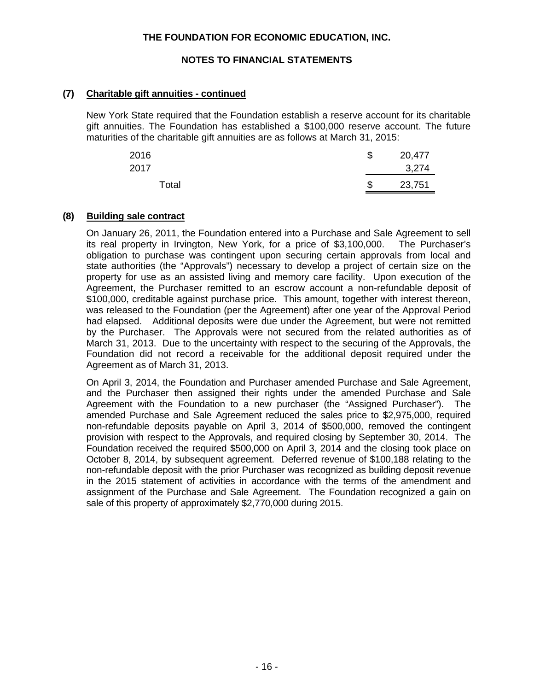## **NOTES TO FINANCIAL STATEMENTS**

## **(7) Charitable gift annuities - continued**

New York State required that the Foundation establish a reserve account for its charitable gift annuities. The Foundation has established a \$100,000 reserve account. The future maturities of the charitable gift annuities are as follows at March 31, 2015:

| 2016<br>2017 | \$<br>20,477<br>3,274 |
|--------------|-----------------------|
| Total        | \$<br>23,751          |

#### **(8) Building sale contract**

On January 26, 2011, the Foundation entered into a Purchase and Sale Agreement to sell its real property in Irvington, New York, for a price of \$3,100,000. The Purchaser's obligation to purchase was contingent upon securing certain approvals from local and state authorities (the "Approvals") necessary to develop a project of certain size on the property for use as an assisted living and memory care facility. Upon execution of the Agreement, the Purchaser remitted to an escrow account a non-refundable deposit of \$100,000, creditable against purchase price. This amount, together with interest thereon, was released to the Foundation (per the Agreement) after one year of the Approval Period had elapsed. Additional deposits were due under the Agreement, but were not remitted by the Purchaser. The Approvals were not secured from the related authorities as of March 31, 2013. Due to the uncertainty with respect to the securing of the Approvals, the Foundation did not record a receivable for the additional deposit required under the Agreement as of March 31, 2013.

On April 3, 2014, the Foundation and Purchaser amended Purchase and Sale Agreement, and the Purchaser then assigned their rights under the amended Purchase and Sale Agreement with the Foundation to a new purchaser (the "Assigned Purchaser"). The amended Purchase and Sale Agreement reduced the sales price to \$2,975,000, required non-refundable deposits payable on April 3, 2014 of \$500,000, removed the contingent provision with respect to the Approvals, and required closing by September 30, 2014. The Foundation received the required \$500,000 on April 3, 2014 and the closing took place on October 8, 2014, by subsequent agreement. Deferred revenue of \$100,188 relating to the non-refundable deposit with the prior Purchaser was recognized as building deposit revenue in the 2015 statement of activities in accordance with the terms of the amendment and assignment of the Purchase and Sale Agreement. The Foundation recognized a gain on sale of this property of approximately \$2,770,000 during 2015.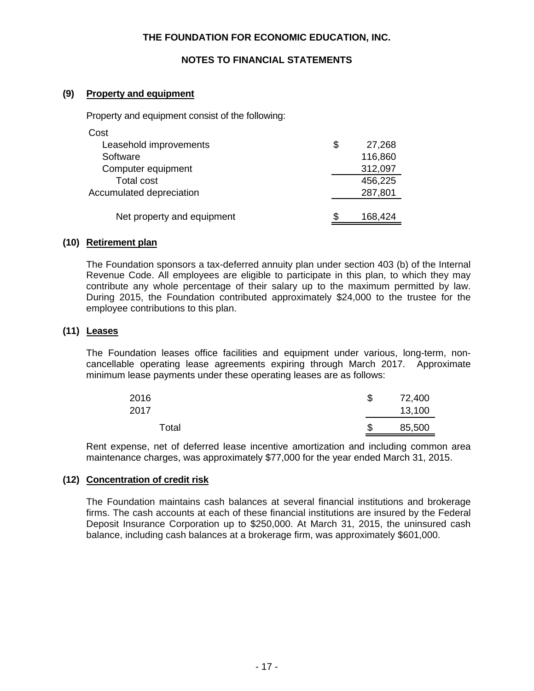## **NOTES TO FINANCIAL STATEMENTS**

## **(9) Property and equipment**

Property and equipment consist of the following:

| Cost                       |              |
|----------------------------|--------------|
| Leasehold improvements     | \$<br>27,268 |
| Software                   | 116,860      |
| Computer equipment         | 312,097      |
| Total cost                 | 456,225      |
| Accumulated depreciation   | 287,801      |
|                            |              |
| Net property and equipment | 168,424      |

## **(10) Retirement plan**

The Foundation sponsors a tax-deferred annuity plan under section 403 (b) of the Internal Revenue Code. All employees are eligible to participate in this plan, to which they may contribute any whole percentage of their salary up to the maximum permitted by law. During 2015, the Foundation contributed approximately \$24,000 to the trustee for the employee contributions to this plan.

## **(11) Leases**

The Foundation leases office facilities and equipment under various, long-term, noncancellable operating lease agreements expiring through March 2017. Approximate minimum lease payments under these operating leases are as follows:

| 2016<br>2017 | \$<br>72,400<br>13,100 |
|--------------|------------------------|
| Total        | \$<br>85,500           |

Rent expense, net of deferred lease incentive amortization and including common area maintenance charges, was approximately \$77,000 for the year ended March 31, 2015.

## **(12) Concentration of credit risk**

The Foundation maintains cash balances at several financial institutions and brokerage firms. The cash accounts at each of these financial institutions are insured by the Federal Deposit Insurance Corporation up to \$250,000. At March 31, 2015, the uninsured cash balance, including cash balances at a brokerage firm, was approximately \$601,000.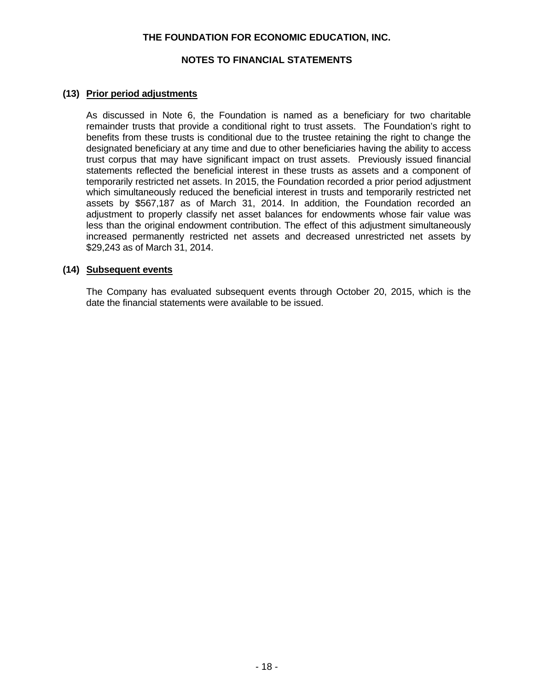## **NOTES TO FINANCIAL STATEMENTS**

## **(13) Prior period adjustments**

As discussed in Note 6, the Foundation is named as a beneficiary for two charitable remainder trusts that provide a conditional right to trust assets. The Foundation's right to benefits from these trusts is conditional due to the trustee retaining the right to change the designated beneficiary at any time and due to other beneficiaries having the ability to access trust corpus that may have significant impact on trust assets. Previously issued financial statements reflected the beneficial interest in these trusts as assets and a component of temporarily restricted net assets. In 2015, the Foundation recorded a prior period adjustment which simultaneously reduced the beneficial interest in trusts and temporarily restricted net assets by \$567,187 as of March 31, 2014. In addition, the Foundation recorded an adjustment to properly classify net asset balances for endowments whose fair value was less than the original endowment contribution. The effect of this adjustment simultaneously increased permanently restricted net assets and decreased unrestricted net assets by \$29,243 as of March 31, 2014.

#### **(14) Subsequent events**

The Company has evaluated subsequent events through October 20, 2015, which is the date the financial statements were available to be issued.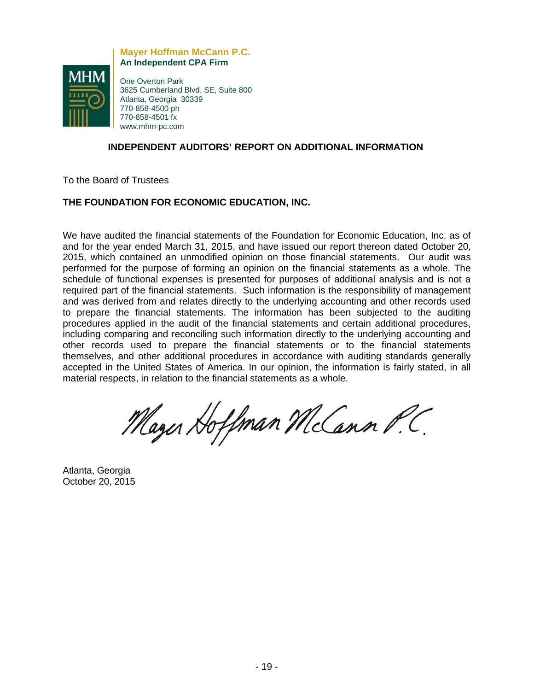

**Mayer Hoffman McCann P.C. An Independent CPA Firm**

One Overton Park 3625 Cumberland Blvd. SE, Suite 800 Atlanta, Georgia 30339 770-858-4500 ph 770-858-4501 fx www.mhm-pc.com

## **INDEPENDENT AUDITORS' REPORT ON ADDITIONAL INFORMATION**

To the Board of Trustees

## **THE FOUNDATION FOR ECONOMIC EDUCATION, INC.**

We have audited the financial statements of the Foundation for Economic Education, Inc. as of and for the year ended March 31, 2015, and have issued our report thereon dated October 20, 2015, which contained an unmodified opinion on those financial statements. Our audit was performed for the purpose of forming an opinion on the financial statements as a whole. The schedule of functional expenses is presented for purposes of additional analysis and is not a required part of the financial statements. Such information is the responsibility of management and was derived from and relates directly to the underlying accounting and other records used to prepare the financial statements. The information has been subjected to the auditing procedures applied in the audit of the financial statements and certain additional procedures, including comparing and reconciling such information directly to the underlying accounting and other records used to prepare the financial statements or to the financial statements themselves, and other additional procedures in accordance with auditing standards generally accepted in the United States of America. In our opinion, the information is fairly stated, in all material respects, in relation to the financial statements as a whole.

Mayer Hoffman McCann P.C.

Atlanta, Georgia October 20, 2015